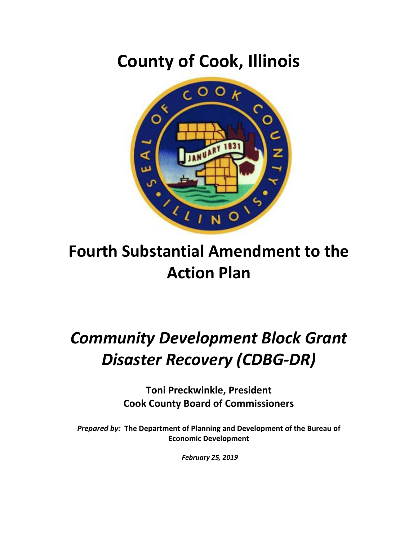## **County of Cook, Illinois**



## **Fourth Substantial Amendment to the Action Plan**

# *Community Development Block Grant Disaster Recovery (CDBG-DR)*

**Toni Preckwinkle, President Cook County Board of Commissioners**

*Prepared by:* **The Department of Planning and Development of the Bureau of Economic Development**

*February 25, 2019*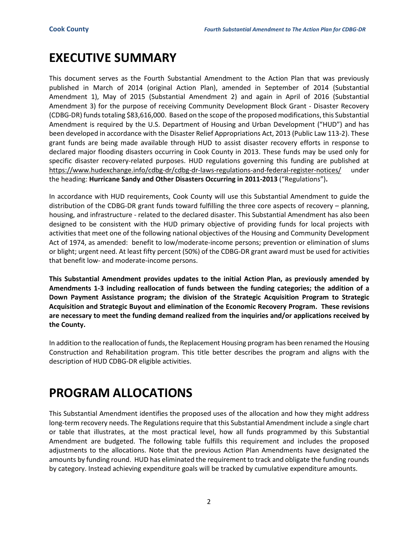### **EXECUTIVE SUMMARY**

This document serves as the Fourth Substantial Amendment to the Action Plan that was previously published in March of 2014 (original Action Plan), amended in September of 2014 (Substantial Amendment 1), May of 2015 (Substantial Amendment 2) and again in April of 2016 (Substantial Amendment 3) for the purpose of receiving Community Development Block Grant - Disaster Recovery (CDBG-DR) fundstotaling \$83,616,000. Based on the scope of the proposed modifications, this Substantial Amendment is required by the U.S. Department of Housing and Urban Development ("HUD") and has been developed in accordance with the Disaster Relief Appropriations Act, 2013 (Public Law 113-2). These grant funds are being made available through HUD to assist disaster recovery efforts in response to declared major flooding disasters occurring in Cook County in 2013. These funds may be used only for specific disaster recovery-related purposes. HUD regulations governing this funding are published at <https://www.hudexchange.info/cdbg-dr/cdbg-dr-laws-regulations-and-federal-register-notices/> under the heading: **Hurricane Sandy and Other Disasters Occurring in 2011-2013** ("Regulations")**.**

In accordance with HUD requirements, Cook County will use this Substantial Amendment to guide the distribution of the CDBG-DR grant funds toward fulfilling the three core aspects of recovery – planning, housing, and infrastructure - related to the declared disaster. This Substantial Amendment has also been designed to be consistent with the HUD primary objective of providing funds for local projects with activities that meet one of the following national objectives of the Housing and Community Development Act of 1974, as amended: benefit to low/moderate-income persons; prevention or elimination of slums or blight; urgent need. At least fifty percent (50%) of the CDBG-DR grant award must be used for activities that benefit low- and moderate-income persons.

**This Substantial Amendment provides updates to the initial Action Plan, as previously amended by Amendments 1-3 including reallocation of funds between the funding categories; the addition of a Down Payment Assistance program; the division of the Strategic Acquisition Program to Strategic Acquisition and Strategic Buyout and elimination of the Economic Recovery Program. These revisions are necessary to meet the funding demand realized from the inquiries and/or applications received by the County.** 

In addition to the reallocation of funds, the Replacement Housing program has been renamed the Housing Construction and Rehabilitation program. This title better describes the program and aligns with the description of HUD CDBG-DR eligible activities.

### **PROGRAM ALLOCATIONS**

This Substantial Amendment identifies the proposed uses of the allocation and how they might address long-term recovery needs. The Regulations require that this Substantial Amendment include a single chart or table that illustrates, at the most practical level, how all funds programmed by this Substantial Amendment are budgeted. The following table fulfills this requirement and includes the proposed adjustments to the allocations. Note that the previous Action Plan Amendments have designated the amounts by funding round. HUD has eliminated the requirement to track and obligate the funding rounds by category. Instead achieving expenditure goals will be tracked by cumulative expenditure amounts.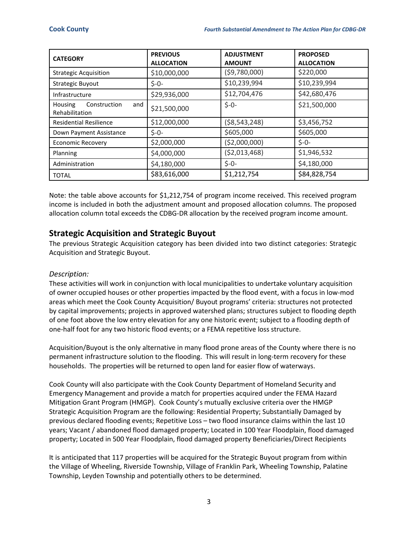| <b>CATEGORY</b>                                  | <b>PREVIOUS</b><br><b>ALLOCATION</b> | <b>ADJUSTMENT</b><br><b>AMOUNT</b> | <b>PROPOSED</b><br><b>ALLOCATION</b> |
|--------------------------------------------------|--------------------------------------|------------------------------------|--------------------------------------|
| <b>Strategic Acquisition</b>                     | \$10,000,000                         | (59,780,000)                       | \$220,000                            |
| <b>Strategic Buyout</b>                          | $$ -0-$                              | \$10,239,994                       | \$10,239,994                         |
| Infrastructure                                   | \$29,936,000                         | \$12,704,476                       | \$42,680,476                         |
| Construction<br>Housing<br>and<br>Rehabilitation | \$21,500,000                         | $$ -0-$                            | \$21,500,000                         |
| <b>Residential Resilience</b>                    | \$12,000,000                         | ( \$8,543,248)                     | \$3,456,752                          |
| Down Payment Assistance                          | $$ -0-$                              | \$605,000                          | \$605,000                            |
| <b>Economic Recovery</b>                         | \$2,000,000                          | ( \$2,000,000)                     | $$ -0-$                              |
| Planning                                         | \$4,000,000                          | ( \$2,013,468)                     | \$1,946,532                          |
| Administration                                   | \$4,180,000                          | $$ -0-$                            | \$4,180,000                          |
| <b>TOTAL</b>                                     | \$83,616,000                         | \$1,212,754                        | \$84,828,754                         |

Note: the table above accounts for \$1,212,754 of program income received. This received program income is included in both the adjustment amount and proposed allocation columns. The proposed allocation column total exceeds the CDBG-DR allocation by the received program income amount.

### **Strategic Acquisition and Strategic Buyout**

The previous Strategic Acquisition category has been divided into two distinct categories: Strategic Acquisition and Strategic Buyout.

#### *Description:*

These activities will work in conjunction with local municipalities to undertake voluntary acquisition of owner occupied houses or other properties impacted by the flood event, with a focus in low-mod areas which meet the Cook County Acquisition/ Buyout programs' criteria: structures not protected by capital improvements; projects in approved watershed plans; structures subject to flooding depth of one foot above the low entry elevation for any one historic event; subject to a flooding depth of one-half foot for any two historic flood events; or a FEMA repetitive loss structure.

Acquisition/Buyout is the only alternative in many flood prone areas of the County where there is no permanent infrastructure solution to the flooding. This will result in long-term recovery for these households. The properties will be returned to open land for easier flow of waterways.

Cook County will also participate with the Cook County Department of Homeland Security and Emergency Management and provide a match for properties acquired under the FEMA Hazard Mitigation Grant Program (HMGP). Cook County's mutually exclusive criteria over the HMGP Strategic Acquisition Program are the following: Residential Property; Substantially Damaged by previous declared flooding events; Repetitive Loss – two flood insurance claims within the last 10 years; Vacant / abandoned flood damaged property; Located in 100 Year Floodplain, flood damaged property; Located in 500 Year Floodplain, flood damaged property Beneficiaries/Direct Recipients

It is anticipated that 117 properties will be acquired for the Strategic Buyout program from within the Village of Wheeling, Riverside Township, Village of Franklin Park, Wheeling Township, Palatine Township, Leyden Township and potentially others to be determined.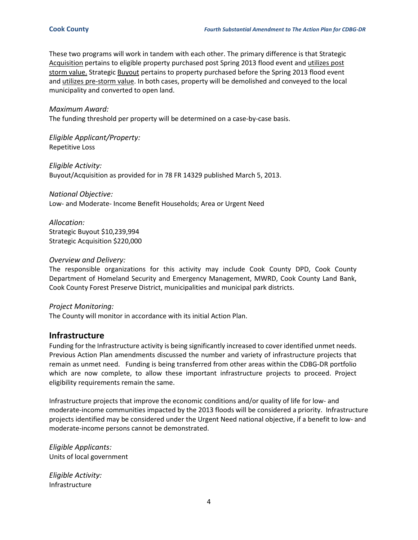These two programs will work in tandem with each other. The primary difference is that Strategic Acquisition pertains to eligible property purchased post Spring 2013 flood event and utilizes post storm value. Strategic Buyout pertains to property purchased before the Spring 2013 flood event and utilizes pre-storm value. In both cases, property will be demolished and conveyed to the local municipality and converted to open land.

*Maximum Award:*

The funding threshold per property will be determined on a case-by-case basis.

*Eligible Applicant/Property:* Repetitive Loss

*Eligible Activity:* Buyout/Acquisition as provided for in 78 FR 14329 published March 5, 2013.

*National Objective:* Low- and Moderate- Income Benefit Households; Area or Urgent Need

*Allocation:* Strategic Buyout \$10,239,994 Strategic Acquisition \$220,000

#### *Overview and Delivery:*

The responsible organizations for this activity may include Cook County DPD, Cook County Department of Homeland Security and Emergency Management, MWRD, Cook County Land Bank, Cook County Forest Preserve District, municipalities and municipal park districts.

#### *Project Monitoring:*

The County will monitor in accordance with its initial Action Plan.

#### **Infrastructure**

Funding for the Infrastructure activity is being significantly increased to cover identified unmet needs. Previous Action Plan amendments discussed the number and variety of infrastructure projects that remain as unmet need. Funding is being transferred from other areas within the CDBG-DR portfolio which are now complete, to allow these important infrastructure projects to proceed. Project eligibility requirements remain the same.

Infrastructure projects that improve the economic conditions and/or quality of life for low- and moderate-income communities impacted by the 2013 floods will be considered a priority. Infrastructure projects identified may be considered under the Urgent Need national objective, if a benefit to low- and moderate-income persons cannot be demonstrated.

*Eligible Applicants:* Units of local government

*Eligible Activity:* Infrastructure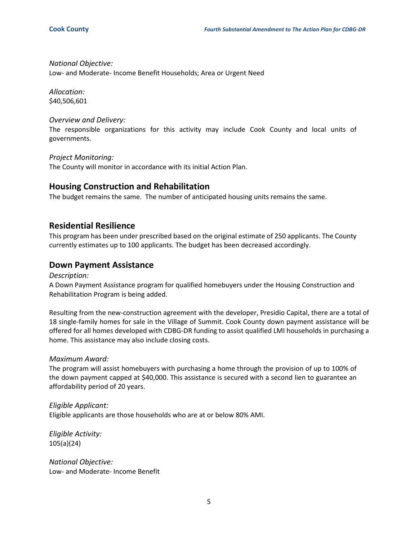*National Objective:*

Low- and Moderate- Income Benefit Households; Area or Urgent Need

*Allocation:* \$40,506,601

#### *Overview and Delivery:*

The responsible organizations for this activity may include Cook County and local units of governments.

*Project Monitoring:* The County will monitor in accordance with its initial Action Plan.

#### **Housing Construction and Rehabilitation**

The budget remains the same. The number of anticipated housing units remains the same.

#### **Residential Resilience**

This program has been under prescribed based on the original estimate of 250 applicants. The County currently estimates up to 100 applicants. The budget has been decreased accordingly.

#### **Down Payment Assistance**

*Description:*

A Down Payment Assistance program for qualified homebuyers under the Housing Construction and Rehabilitation Program is being added.

Resulting from the new-construction agreement with the developer, Presidio Capital, there are a total of 18 single-family homes for sale in the Village of Summit. Cook County down payment assistance will be offered for all homes developed with CDBG-DR funding to assist qualified LMI households in purchasing a home. This assistance may also include closing costs.

#### *Maximum Award:*

The program will assist homebuyers with purchasing a home through the provision of up to 100% of the down payment capped at \$40,000. This assistance is secured with a second lien to guarantee an affordability period of 20 years.

*Eligible Applicant:* Eligible applicants are those households who are at or below 80% AMI.

*Eligible Activity:* 105(a)(24)

*National Objective:* Low- and Moderate- Income Benefit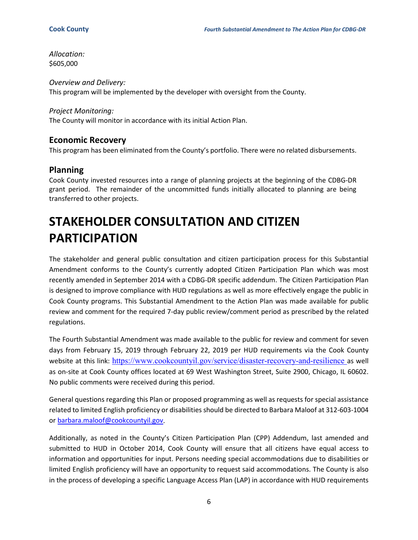*Allocation:* \$605,000

*Overview and Delivery:* This program will be implemented by the developer with oversight from the County.

#### *Project Monitoring:*

The County will monitor in accordance with its initial Action Plan.

#### **Economic Recovery**

This program has been eliminated from the County's portfolio. There were no related disbursements.

#### **Planning**

Cook County invested resources into a range of planning projects at the beginning of the CDBG-DR grant period. The remainder of the uncommitted funds initially allocated to planning are being transferred to other projects.

## **STAKEHOLDER CONSULTATION AND CITIZEN PARTICIPATION**

The stakeholder and general public consultation and citizen participation process for this Substantial Amendment conforms to the County's currently adopted Citizen Participation Plan which was most recently amended in September 2014 with a CDBG-DR specific addendum. The Citizen Participation Plan is designed to improve compliance with HUD regulations as well as more effectively engage the public in Cook County programs. This Substantial Amendment to the Action Plan was made available for public review and comment for the required 7-day public review/comment period as prescribed by the related regulations.

The Fourth Substantial Amendment was made available to the public for review and comment for seven days from February 15, 2019 through February 22, 2019 per HUD requirements via the Cook County website at this link: <https://www.cookcountyil.gov/service/disaster-recovery-and-resilience> as well as on-site at Cook County offices located at 69 West Washington Street, Suite 2900, Chicago, IL 60602. No public comments were received during this period.

General questions regarding this Plan or proposed programming as well as requests for special assistance related to limited English proficiency or disabilities should be directed to Barbara Maloof at 312-603-1004 or [barbara.maloof@cookcountyil.gov.](mailto:barbara.maloof@cookcountyil.gov)

Additionally, as noted in the County's Citizen Participation Plan (CPP) Addendum, last amended and submitted to HUD in October 2014, Cook County will ensure that all citizens have equal access to information and opportunities for input. Persons needing special accommodations due to disabilities or limited English proficiency will have an opportunity to request said accommodations. The County is also in the process of developing a specific Language Access Plan (LAP) in accordance with HUD requirements